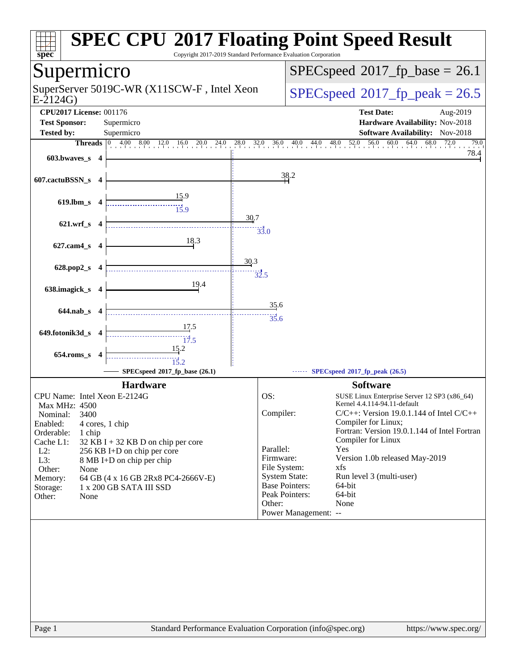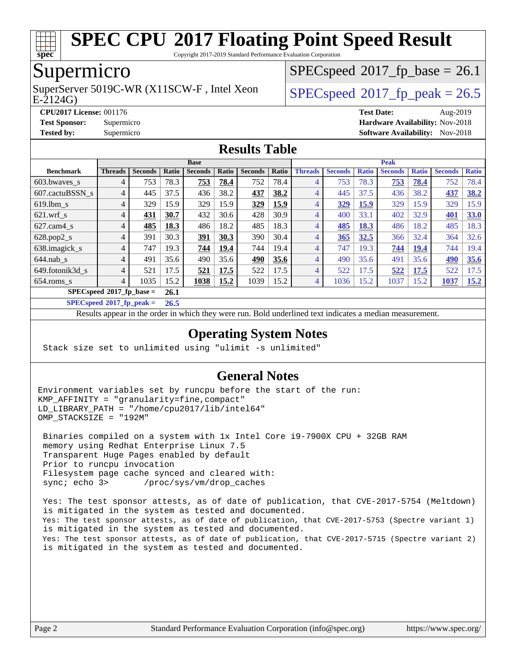

Copyright 2017-2019 Standard Performance Evaluation Corporation

### Supermicro

E-2124G) SuperServer 5019C-WR (X11SCW-F, Intel Xeon  $SPEC speed^{\circ}2017$  fp\_peak = 26.5

 $SPECspeed^{\circledcirc}2017$  $SPECspeed^{\circledcirc}2017$  fp base = 26.1

**[CPU2017 License:](http://www.spec.org/auto/cpu2017/Docs/result-fields.html#CPU2017License)** 001176 **[Test Date:](http://www.spec.org/auto/cpu2017/Docs/result-fields.html#TestDate)** Aug-2019

#### **[Test Sponsor:](http://www.spec.org/auto/cpu2017/Docs/result-fields.html#TestSponsor)** Supermicro **[Hardware Availability:](http://www.spec.org/auto/cpu2017/Docs/result-fields.html#HardwareAvailability)** Nov-2018 **[Tested by:](http://www.spec.org/auto/cpu2017/Docs/result-fields.html#Testedby)** Supermicro [Software Availability:](http://www.spec.org/auto/cpu2017/Docs/result-fields.html#SoftwareAvailability) Nov-2018

### **[Results Table](http://www.spec.org/auto/cpu2017/Docs/result-fields.html#ResultsTable)**

|                             | <b>Base</b>                 |                |       |                |       |                |       | <b>Peak</b>    |                |              |                |              |                |              |
|-----------------------------|-----------------------------|----------------|-------|----------------|-------|----------------|-------|----------------|----------------|--------------|----------------|--------------|----------------|--------------|
| <b>Benchmark</b>            | <b>Threads</b>              | <b>Seconds</b> | Ratio | <b>Seconds</b> | Ratio | <b>Seconds</b> | Ratio | <b>Threads</b> | <b>Seconds</b> | <b>Ratio</b> | <b>Seconds</b> | <b>Ratio</b> | <b>Seconds</b> | <b>Ratio</b> |
| 603.bwayes s                | 4                           | 753            | 78.3  | 753            | 78.4  | 752            | 78.4  | 4              | 753            | 78.3         | 753            | 78.4         | 752            | 78.4         |
| 607.cactuBSSN s             | 4                           | 445            | 37.5  | 436            | 38.2  | 437            | 38.2  | 4              | 445            | 37.5         | 436            | 38.2         | 437            | 38.2         |
| $619$ .lbm s                | 4                           | 329            | 15.9  | 329            | 15.9  | 329            | 15.9  | 4              | 329            | 15.9         | 329            | 15.9         | 329            | 15.9         |
| $621$ .wrf s                | 4                           | 431            | 30.7  | 432            | 30.6  | 428            | 30.9  | $\overline{4}$ | 400            | 33.1         | 402            | 32.9         | 401            | <b>33.0</b>  |
| $627$ .cam $4$ <sub>s</sub> | 4                           | 485            | 18.3  | 486            | 18.2  | 485            | 18.3  | $\overline{4}$ | 485            | 18.3         | 486            | 18.2         | 485            | 18.3         |
| $628.pop2_s$                | 4                           | 391            | 30.3  | <u>391</u>     | 30.3  | 390            | 30.4  | 4              | 365            | 32.5         | 366            | 32.4         | 364            | 32.6         |
| 638.imagick_s               | 4                           | 747            | 19.3  | 744            | 19.4  | 744            | 19.4  | 4              | 747            | 19.3         | 744            | 19.4         | 744            | 19.4         |
| $644$ .nab s                | 4                           | 491            | 35.6  | 490            | 35.6  | 490            | 35.6  | 4              | 490            | 35.6         | 491            | 35.6         | 490            | 35.6         |
| 649.fotonik3d_s             | 4                           | 521            | 17.5  | 521            | 17.5  | 522            | 17.5  | 4              | 522            | 17.5         | 522            | 17.5         | 522            | 17.5         |
| $654$ .roms_s               | 4                           | 1035           | 15.2  | 1038           | 15.2  | 1039           | 15.2  | $\overline{4}$ | 1036           | 15.2         | 1037           | 15.2         | 1037           | 15.2         |
|                             | $SPECspeed*2017_fp\_base =$ |                | 26.1  |                |       |                |       |                |                |              |                |              |                |              |

**[SPECspeed](http://www.spec.org/auto/cpu2017/Docs/result-fields.html#SPECspeed2017fppeak)[2017\\_fp\\_peak =](http://www.spec.org/auto/cpu2017/Docs/result-fields.html#SPECspeed2017fppeak) 26.5**

Results appear in the [order in which they were run.](http://www.spec.org/auto/cpu2017/Docs/result-fields.html#RunOrder) Bold underlined text [indicates a median measurement.](http://www.spec.org/auto/cpu2017/Docs/result-fields.html#Median)

### **[Operating System Notes](http://www.spec.org/auto/cpu2017/Docs/result-fields.html#OperatingSystemNotes)**

Stack size set to unlimited using "ulimit -s unlimited"

### **[General Notes](http://www.spec.org/auto/cpu2017/Docs/result-fields.html#GeneralNotes)**

Environment variables set by runcpu before the start of the run: KMP\_AFFINITY = "granularity=fine,compact" LD LIBRARY PATH = "/home/cpu2017/lib/intel64" OMP\_STACKSIZE = "192M"

 Binaries compiled on a system with 1x Intel Core i9-7900X CPU + 32GB RAM memory using Redhat Enterprise Linux 7.5 Transparent Huge Pages enabled by default Prior to runcpu invocation Filesystem page cache synced and cleared with: sync; echo 3> /proc/sys/vm/drop\_caches

 Yes: The test sponsor attests, as of date of publication, that CVE-2017-5754 (Meltdown) is mitigated in the system as tested and documented. Yes: The test sponsor attests, as of date of publication, that CVE-2017-5753 (Spectre variant 1) is mitigated in the system as tested and documented. Yes: The test sponsor attests, as of date of publication, that CVE-2017-5715 (Spectre variant 2) is mitigated in the system as tested and documented.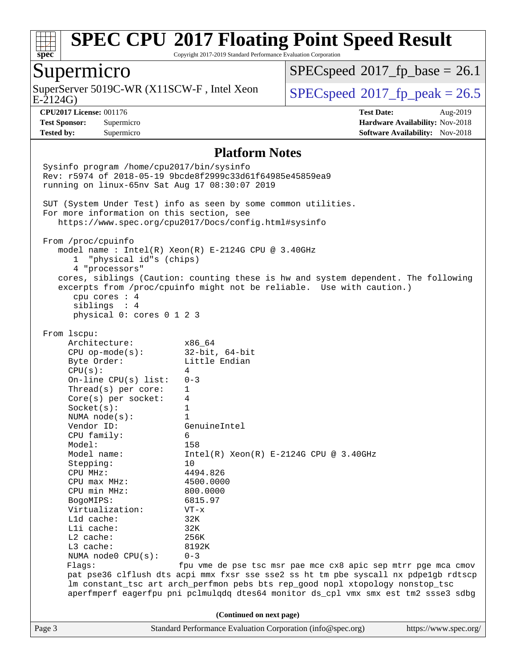

Copyright 2017-2019 Standard Performance Evaluation Corporation

### Supermicro

E-2124G) SuperServer 5019C-WR (X11SCW-F, Intel Xeon  $SPEC speed^{\circ}2017$  fp\_peak = 26.5

 $SPECspeed^{\circledcirc}2017$  $SPECspeed^{\circledcirc}2017$  fp base = 26.1

**[Tested by:](http://www.spec.org/auto/cpu2017/Docs/result-fields.html#Testedby)** Supermicro **Supermicro [Software Availability:](http://www.spec.org/auto/cpu2017/Docs/result-fields.html#SoftwareAvailability)** Nov-2018

**[CPU2017 License:](http://www.spec.org/auto/cpu2017/Docs/result-fields.html#CPU2017License)** 001176 **[Test Date:](http://www.spec.org/auto/cpu2017/Docs/result-fields.html#TestDate)** Aug-2019 **[Test Sponsor:](http://www.spec.org/auto/cpu2017/Docs/result-fields.html#TestSponsor)** Supermicro **[Hardware Availability:](http://www.spec.org/auto/cpu2017/Docs/result-fields.html#HardwareAvailability)** Nov-2018

#### **[Platform Notes](http://www.spec.org/auto/cpu2017/Docs/result-fields.html#PlatformNotes)**

Page 3 Standard Performance Evaluation Corporation [\(info@spec.org\)](mailto:info@spec.org) <https://www.spec.org/> Sysinfo program /home/cpu2017/bin/sysinfo Rev: r5974 of 2018-05-19 9bcde8f2999c33d61f64985e45859ea9 running on linux-65nv Sat Aug 17 08:30:07 2019 SUT (System Under Test) info as seen by some common utilities. For more information on this section, see <https://www.spec.org/cpu2017/Docs/config.html#sysinfo> From /proc/cpuinfo model name : Intel(R) Xeon(R) E-2124G CPU @ 3.40GHz 1 "physical id"s (chips) 4 "processors" cores, siblings (Caution: counting these is hw and system dependent. The following excerpts from /proc/cpuinfo might not be reliable. Use with caution.) cpu cores : 4 siblings : 4 physical 0: cores 0 1 2 3 From lscpu: Architecture: x86\_64 CPU op-mode(s): 32-bit, 64-bit Byte Order: Little Endian  $CPU(s):$  4 On-line CPU(s) list: 0-3 Thread(s) per core: 1 Core(s) per socket: 4 Socket(s): 1 NUMA node(s): 1 Vendor ID: GenuineIntel CPU family: 6 Model: 158<br>Model name: 1158  $Intel(R)$  Xeon(R) E-2124G CPU @ 3.40GHz Stepping: 10 CPU MHz: 4494.826 CPU max MHz: 4500.0000 CPU min MHz: 800.0000 BogoMIPS: 6815.97 Virtualization: VT-x L1d cache: 32K L1i cache: 32K L2 cache: 256K L3 cache: 8192K NUMA node0 CPU(s): 0-3 Flags: fpu vme de pse tsc msr pae mce cx8 apic sep mtrr pge mca cmov pat pse36 clflush dts acpi mmx fxsr sse sse2 ss ht tm pbe syscall nx pdpe1gb rdtscp lm constant\_tsc art arch\_perfmon pebs bts rep\_good nopl xtopology nonstop\_tsc aperfmperf eagerfpu pni pclmulqdq dtes64 monitor ds\_cpl vmx smx est tm2 ssse3 sdbg **(Continued on next page)**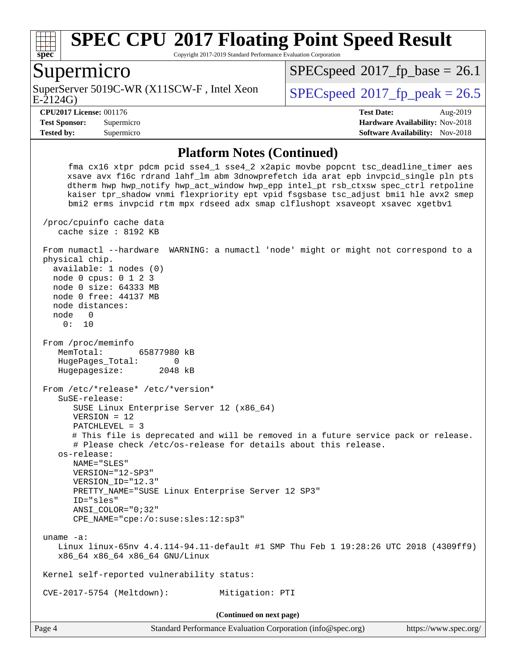

Copyright 2017-2019 Standard Performance Evaluation Corporation

### Supermicro

E-2124G) SuperServer 5019C-WR (X11SCW-F, Intel Xeon  $SPECspeed@2017_fp\_peak = 26.5$  $SPECspeed@2017_fp\_peak = 26.5$ 

 $SPECspeed^{\circledcirc}2017$  $SPECspeed^{\circledcirc}2017$  fp base = 26.1

**[Tested by:](http://www.spec.org/auto/cpu2017/Docs/result-fields.html#Testedby)** Supermicro **Supermicro [Software Availability:](http://www.spec.org/auto/cpu2017/Docs/result-fields.html#SoftwareAvailability)** Nov-2018

**[CPU2017 License:](http://www.spec.org/auto/cpu2017/Docs/result-fields.html#CPU2017License)** 001176 **[Test Date:](http://www.spec.org/auto/cpu2017/Docs/result-fields.html#TestDate)** Aug-2019 **[Test Sponsor:](http://www.spec.org/auto/cpu2017/Docs/result-fields.html#TestSponsor)** Supermicro **[Hardware Availability:](http://www.spec.org/auto/cpu2017/Docs/result-fields.html#HardwareAvailability)** Nov-2018

#### **[Platform Notes \(Continued\)](http://www.spec.org/auto/cpu2017/Docs/result-fields.html#PlatformNotes)**

 fma cx16 xtpr pdcm pcid sse4\_1 sse4\_2 x2apic movbe popcnt tsc\_deadline\_timer aes xsave avx f16c rdrand lahf\_lm abm 3dnowprefetch ida arat epb invpcid\_single pln pts dtherm hwp hwp\_notify hwp\_act\_window hwp\_epp intel\_pt rsb\_ctxsw spec\_ctrl retpoline kaiser tpr\_shadow vnmi flexpriority ept vpid fsgsbase tsc\_adjust bmi1 hle avx2 smep bmi2 erms invpcid rtm mpx rdseed adx smap clflushopt xsaveopt xsavec xgetbv1 /proc/cpuinfo cache data cache size : 8192 KB From numactl --hardware WARNING: a numactl 'node' might or might not correspond to a physical chip. available: 1 nodes (0) node 0 cpus: 0 1 2 3 node 0 size: 64333 MB node 0 free: 44137 MB node distances: node 0 0: 10 From /proc/meminfo MemTotal: 65877980 kB HugePages\_Total: 0 Hugepagesize: 2048 kB From /etc/\*release\* /etc/\*version\* SuSE-release: SUSE Linux Enterprise Server 12 (x86\_64) VERSION = 12 PATCHLEVEL = 3 # This file is deprecated and will be removed in a future service pack or release. # Please check /etc/os-release for details about this release. os-release: NAME="SLES" VERSION="12-SP3" VERSION\_ID="12.3" PRETTY\_NAME="SUSE Linux Enterprise Server 12 SP3" ID="sles" ANSI\_COLOR="0;32" CPE\_NAME="cpe:/o:suse:sles:12:sp3" uname -a: Linux linux-65nv 4.4.114-94.11-default #1 SMP Thu Feb 1 19:28:26 UTC 2018 (4309ff9) x86\_64 x86\_64 x86\_64 GNU/Linux Kernel self-reported vulnerability status: CVE-2017-5754 (Meltdown): Mitigation: PTI **(Continued on next page)**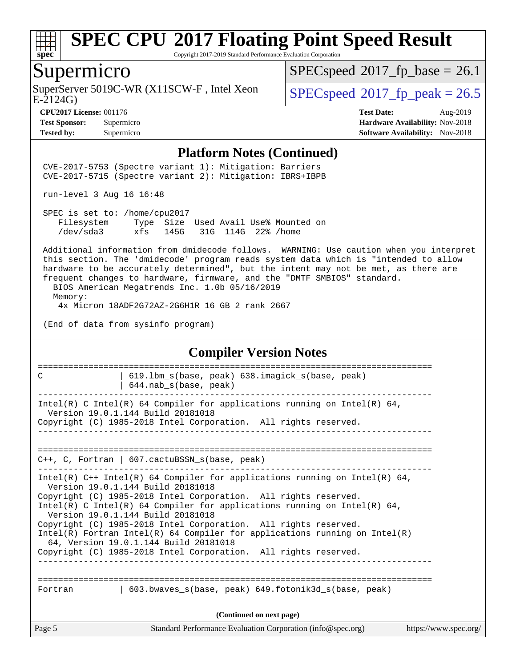

Copyright 2017-2019 Standard Performance Evaluation Corporation

### Supermicro

SuperServer 5019C-WR (X11SCW-F, Intel Xeon E-2124G)

 $SPECspeed@2017_fp\_base = 26.1$  $SPECspeed@2017_fp\_base = 26.1$ 

 $SPECspeed*2017_f p\_peak = 26.5$  $SPECspeed*2017_f p\_peak = 26.5$ 

**[Tested by:](http://www.spec.org/auto/cpu2017/Docs/result-fields.html#Testedby)** Supermicro [Software Availability:](http://www.spec.org/auto/cpu2017/Docs/result-fields.html#SoftwareAvailability) Nov-2018

**[CPU2017 License:](http://www.spec.org/auto/cpu2017/Docs/result-fields.html#CPU2017License)** 001176 **[Test Date:](http://www.spec.org/auto/cpu2017/Docs/result-fields.html#TestDate)** Aug-2019 **[Test Sponsor:](http://www.spec.org/auto/cpu2017/Docs/result-fields.html#TestSponsor)** Supermicro **[Hardware Availability:](http://www.spec.org/auto/cpu2017/Docs/result-fields.html#HardwareAvailability)** Nov-2018

#### **[Platform Notes \(Continued\)](http://www.spec.org/auto/cpu2017/Docs/result-fields.html#PlatformNotes)**

 CVE-2017-5753 (Spectre variant 1): Mitigation: Barriers CVE-2017-5715 (Spectre variant 2): Mitigation: IBRS+IBPB

run-level 3 Aug 16 16:48

 SPEC is set to: /home/cpu2017 Filesystem Type Size Used Avail Use% Mounted on /dev/sda3 xfs 145G 31G 114G 22% /home

 Additional information from dmidecode follows. WARNING: Use caution when you interpret this section. The 'dmidecode' program reads system data which is "intended to allow hardware to be accurately determined", but the intent may not be met, as there are frequent changes to hardware, firmware, and the "DMTF SMBIOS" standard.

 BIOS American Megatrends Inc. 1.0b 05/16/2019 Memory: 4x Micron 18ADF2G72AZ-2G6H1R 16 GB 2 rank 2667

(End of data from sysinfo program)

#### **[Compiler Version Notes](http://www.spec.org/auto/cpu2017/Docs/result-fields.html#CompilerVersionNotes)**

| C                        | 619.1bm s(base, peak) 638.imagick s(base, peak)<br>644.nab_s(base, peak)                                                                                                                                                                                                                                                                                                                                                                                                                                                                                           |                       |  |  |  |  |
|--------------------------|--------------------------------------------------------------------------------------------------------------------------------------------------------------------------------------------------------------------------------------------------------------------------------------------------------------------------------------------------------------------------------------------------------------------------------------------------------------------------------------------------------------------------------------------------------------------|-----------------------|--|--|--|--|
|                          | Intel(R) C Intel(R) 64 Compiler for applications running on Intel(R) 64,<br>Version 19.0.1.144 Build 20181018<br>Copyright (C) 1985-2018 Intel Corporation. All rights reserved.                                                                                                                                                                                                                                                                                                                                                                                   |                       |  |  |  |  |
|                          | $C_{++}$ , C, Fortran   607. cactuBSSN s(base, peak)                                                                                                                                                                                                                                                                                                                                                                                                                                                                                                               |                       |  |  |  |  |
|                          | Intel(R) $C++$ Intel(R) 64 Compiler for applications running on Intel(R) 64,<br>Version 19.0.1.144 Build 20181018<br>Copyright (C) 1985-2018 Intel Corporation. All rights reserved.<br>Intel(R) C Intel(R) 64 Compiler for applications running on Intel(R) 64,<br>Version 19.0.1.144 Build 20181018<br>Copyright (C) 1985-2018 Intel Corporation. All rights reserved.<br>Intel(R) Fortran Intel(R) 64 Compiler for applications running on Intel(R)<br>64, Version 19.0.1.144 Build 20181018<br>Copyright (C) 1985-2018 Intel Corporation. All rights reserved. |                       |  |  |  |  |
| Fortran                  | 603.bwaves s(base, peak) 649.fotonik3d s(base, peak)                                                                                                                                                                                                                                                                                                                                                                                                                                                                                                               |                       |  |  |  |  |
| (Continued on next page) |                                                                                                                                                                                                                                                                                                                                                                                                                                                                                                                                                                    |                       |  |  |  |  |
| Page 5                   | Standard Performance Evaluation Corporation (info@spec.org)                                                                                                                                                                                                                                                                                                                                                                                                                                                                                                        | https://www.spec.org/ |  |  |  |  |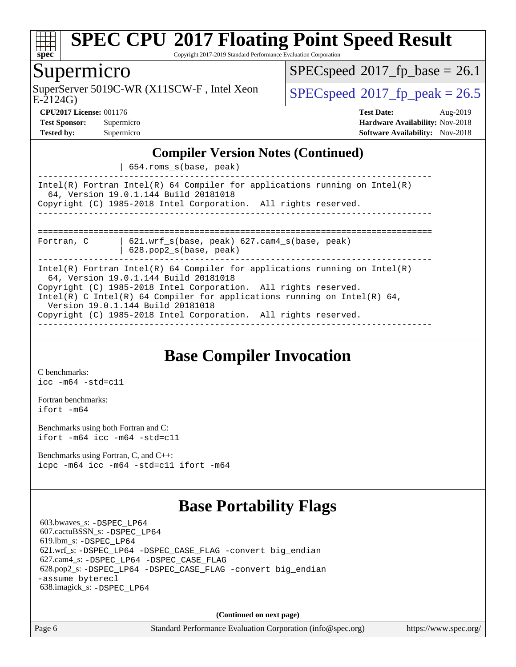

Copyright 2017-2019 Standard Performance Evaluation Corporation

### Supermicro

E-2124G) SuperServer 5019C-WR (X11SCW-F, Intel Xeon  $SPEC speed^{\circ}2017$  fp\_peak = 26.5

 $SPECspeed^{\circledcirc}2017$  $SPECspeed^{\circledcirc}2017$  fp base = 26.1

**[CPU2017 License:](http://www.spec.org/auto/cpu2017/Docs/result-fields.html#CPU2017License)** 001176 **[Test Date:](http://www.spec.org/auto/cpu2017/Docs/result-fields.html#TestDate)** Aug-2019 **[Test Sponsor:](http://www.spec.org/auto/cpu2017/Docs/result-fields.html#TestSponsor)** Supermicro **[Hardware Availability:](http://www.spec.org/auto/cpu2017/Docs/result-fields.html#HardwareAvailability)** Nov-2018 **[Tested by:](http://www.spec.org/auto/cpu2017/Docs/result-fields.html#Testedby)** Supermicro **[Software Availability:](http://www.spec.org/auto/cpu2017/Docs/result-fields.html#SoftwareAvailability)** Nov-2018

### **[Compiler Version Notes \(Continued\)](http://www.spec.org/auto/cpu2017/Docs/result-fields.html#CompilerVersionNotes)**

| 654.roms\_s(base, peak)

------------------------------------------------------------------------------ Intel(R) Fortran Intel(R) 64 Compiler for applications running on Intel(R) 64, Version 19.0.1.144 Build 20181018 Copyright (C) 1985-2018 Intel Corporation. All rights reserved. ------------------------------------------------------------------------------ ============================================================================== Fortran, C | 621.wrf\_s(base, peak) 627.cam4\_s(base, peak)

| 628.pop2\_s(base, peak)

------------------------------------------------------------------------------ Intel(R) Fortran Intel(R) 64 Compiler for applications running on Intel(R) 64, Version 19.0.1.144 Build 20181018 Copyright (C) 1985-2018 Intel Corporation. All rights reserved. Intel(R) C Intel(R) 64 Compiler for applications running on Intel(R) 64, Version 19.0.1.144 Build 20181018 Copyright (C) 1985-2018 Intel Corporation. All rights reserved. ------------------------------------------------------------------------------

## **[Base Compiler Invocation](http://www.spec.org/auto/cpu2017/Docs/result-fields.html#BaseCompilerInvocation)**

[C benchmarks](http://www.spec.org/auto/cpu2017/Docs/result-fields.html#Cbenchmarks): [icc -m64 -std=c11](http://www.spec.org/cpu2017/results/res2019q3/cpu2017-20190819-17130.flags.html#user_CCbase_intel_icc_64bit_c11_33ee0cdaae7deeeab2a9725423ba97205ce30f63b9926c2519791662299b76a0318f32ddfffdc46587804de3178b4f9328c46fa7c2b0cd779d7a61945c91cd35)

[Fortran benchmarks](http://www.spec.org/auto/cpu2017/Docs/result-fields.html#Fortranbenchmarks): [ifort -m64](http://www.spec.org/cpu2017/results/res2019q3/cpu2017-20190819-17130.flags.html#user_FCbase_intel_ifort_64bit_24f2bb282fbaeffd6157abe4f878425411749daecae9a33200eee2bee2fe76f3b89351d69a8130dd5949958ce389cf37ff59a95e7a40d588e8d3a57e0c3fd751)

[Benchmarks using both Fortran and C](http://www.spec.org/auto/cpu2017/Docs/result-fields.html#BenchmarksusingbothFortranandC): [ifort -m64](http://www.spec.org/cpu2017/results/res2019q3/cpu2017-20190819-17130.flags.html#user_CC_FCbase_intel_ifort_64bit_24f2bb282fbaeffd6157abe4f878425411749daecae9a33200eee2bee2fe76f3b89351d69a8130dd5949958ce389cf37ff59a95e7a40d588e8d3a57e0c3fd751) [icc -m64 -std=c11](http://www.spec.org/cpu2017/results/res2019q3/cpu2017-20190819-17130.flags.html#user_CC_FCbase_intel_icc_64bit_c11_33ee0cdaae7deeeab2a9725423ba97205ce30f63b9926c2519791662299b76a0318f32ddfffdc46587804de3178b4f9328c46fa7c2b0cd779d7a61945c91cd35)

[Benchmarks using Fortran, C, and C++:](http://www.spec.org/auto/cpu2017/Docs/result-fields.html#BenchmarksusingFortranCandCXX) [icpc -m64](http://www.spec.org/cpu2017/results/res2019q3/cpu2017-20190819-17130.flags.html#user_CC_CXX_FCbase_intel_icpc_64bit_4ecb2543ae3f1412ef961e0650ca070fec7b7afdcd6ed48761b84423119d1bf6bdf5cad15b44d48e7256388bc77273b966e5eb805aefd121eb22e9299b2ec9d9) [icc -m64 -std=c11](http://www.spec.org/cpu2017/results/res2019q3/cpu2017-20190819-17130.flags.html#user_CC_CXX_FCbase_intel_icc_64bit_c11_33ee0cdaae7deeeab2a9725423ba97205ce30f63b9926c2519791662299b76a0318f32ddfffdc46587804de3178b4f9328c46fa7c2b0cd779d7a61945c91cd35) [ifort -m64](http://www.spec.org/cpu2017/results/res2019q3/cpu2017-20190819-17130.flags.html#user_CC_CXX_FCbase_intel_ifort_64bit_24f2bb282fbaeffd6157abe4f878425411749daecae9a33200eee2bee2fe76f3b89351d69a8130dd5949958ce389cf37ff59a95e7a40d588e8d3a57e0c3fd751)

## **[Base Portability Flags](http://www.spec.org/auto/cpu2017/Docs/result-fields.html#BasePortabilityFlags)**

 603.bwaves\_s: [-DSPEC\\_LP64](http://www.spec.org/cpu2017/results/res2019q3/cpu2017-20190819-17130.flags.html#suite_basePORTABILITY603_bwaves_s_DSPEC_LP64) 607.cactuBSSN\_s: [-DSPEC\\_LP64](http://www.spec.org/cpu2017/results/res2019q3/cpu2017-20190819-17130.flags.html#suite_basePORTABILITY607_cactuBSSN_s_DSPEC_LP64) 619.lbm\_s: [-DSPEC\\_LP64](http://www.spec.org/cpu2017/results/res2019q3/cpu2017-20190819-17130.flags.html#suite_basePORTABILITY619_lbm_s_DSPEC_LP64) 621.wrf\_s: [-DSPEC\\_LP64](http://www.spec.org/cpu2017/results/res2019q3/cpu2017-20190819-17130.flags.html#suite_basePORTABILITY621_wrf_s_DSPEC_LP64) [-DSPEC\\_CASE\\_FLAG](http://www.spec.org/cpu2017/results/res2019q3/cpu2017-20190819-17130.flags.html#b621.wrf_s_baseCPORTABILITY_DSPEC_CASE_FLAG) [-convert big\\_endian](http://www.spec.org/cpu2017/results/res2019q3/cpu2017-20190819-17130.flags.html#user_baseFPORTABILITY621_wrf_s_convert_big_endian_c3194028bc08c63ac5d04de18c48ce6d347e4e562e8892b8bdbdc0214820426deb8554edfa529a3fb25a586e65a3d812c835984020483e7e73212c4d31a38223) 627.cam4\_s: [-DSPEC\\_LP64](http://www.spec.org/cpu2017/results/res2019q3/cpu2017-20190819-17130.flags.html#suite_basePORTABILITY627_cam4_s_DSPEC_LP64) [-DSPEC\\_CASE\\_FLAG](http://www.spec.org/cpu2017/results/res2019q3/cpu2017-20190819-17130.flags.html#b627.cam4_s_baseCPORTABILITY_DSPEC_CASE_FLAG) 628.pop2\_s: [-DSPEC\\_LP64](http://www.spec.org/cpu2017/results/res2019q3/cpu2017-20190819-17130.flags.html#suite_basePORTABILITY628_pop2_s_DSPEC_LP64) [-DSPEC\\_CASE\\_FLAG](http://www.spec.org/cpu2017/results/res2019q3/cpu2017-20190819-17130.flags.html#b628.pop2_s_baseCPORTABILITY_DSPEC_CASE_FLAG) [-convert big\\_endian](http://www.spec.org/cpu2017/results/res2019q3/cpu2017-20190819-17130.flags.html#user_baseFPORTABILITY628_pop2_s_convert_big_endian_c3194028bc08c63ac5d04de18c48ce6d347e4e562e8892b8bdbdc0214820426deb8554edfa529a3fb25a586e65a3d812c835984020483e7e73212c4d31a38223) [-assume byterecl](http://www.spec.org/cpu2017/results/res2019q3/cpu2017-20190819-17130.flags.html#user_baseFPORTABILITY628_pop2_s_assume_byterecl_7e47d18b9513cf18525430bbf0f2177aa9bf368bc7a059c09b2c06a34b53bd3447c950d3f8d6c70e3faf3a05c8557d66a5798b567902e8849adc142926523472) 638.imagick\_s: [-DSPEC\\_LP64](http://www.spec.org/cpu2017/results/res2019q3/cpu2017-20190819-17130.flags.html#suite_basePORTABILITY638_imagick_s_DSPEC_LP64)

**(Continued on next page)**

Page 6 Standard Performance Evaluation Corporation [\(info@spec.org\)](mailto:info@spec.org) <https://www.spec.org/>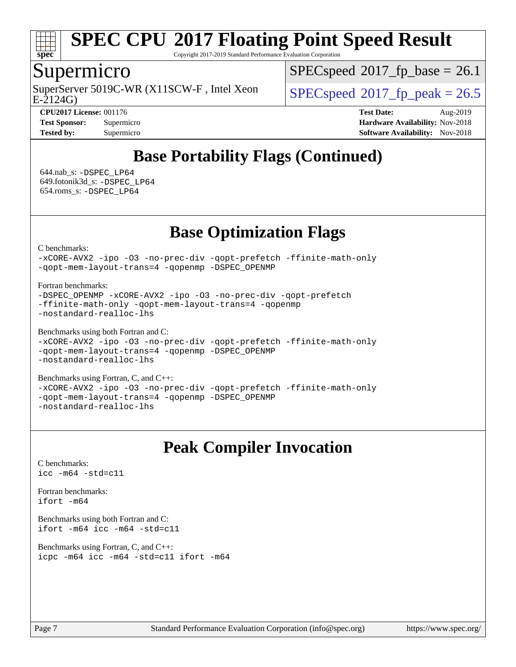

Copyright 2017-2019 Standard Performance Evaluation Corporation

### Supermicro

E-2124G) SuperServer 5019C-WR (X11SCW-F, Intel Xeon  $SPEC speed^{\circ}2017$  fp\_peak = 26.5

 $SPECspeed^{\circledcirc}2017$  $SPECspeed^{\circledcirc}2017$  fp base = 26.1

**[CPU2017 License:](http://www.spec.org/auto/cpu2017/Docs/result-fields.html#CPU2017License)** 001176 **[Test Date:](http://www.spec.org/auto/cpu2017/Docs/result-fields.html#TestDate)** Aug-2019 **[Test Sponsor:](http://www.spec.org/auto/cpu2017/Docs/result-fields.html#TestSponsor)** Supermicro **[Hardware Availability:](http://www.spec.org/auto/cpu2017/Docs/result-fields.html#HardwareAvailability)** Nov-2018 **[Tested by:](http://www.spec.org/auto/cpu2017/Docs/result-fields.html#Testedby)** Supermicro **Supermicro [Software Availability:](http://www.spec.org/auto/cpu2017/Docs/result-fields.html#SoftwareAvailability)** Nov-2018

# **[Base Portability Flags \(Continued\)](http://www.spec.org/auto/cpu2017/Docs/result-fields.html#BasePortabilityFlags)**

 644.nab\_s: [-DSPEC\\_LP64](http://www.spec.org/cpu2017/results/res2019q3/cpu2017-20190819-17130.flags.html#suite_basePORTABILITY644_nab_s_DSPEC_LP64) 649.fotonik3d\_s: [-DSPEC\\_LP64](http://www.spec.org/cpu2017/results/res2019q3/cpu2017-20190819-17130.flags.html#suite_basePORTABILITY649_fotonik3d_s_DSPEC_LP64) 654.roms\_s: [-DSPEC\\_LP64](http://www.spec.org/cpu2017/results/res2019q3/cpu2017-20190819-17130.flags.html#suite_basePORTABILITY654_roms_s_DSPEC_LP64)

## **[Base Optimization Flags](http://www.spec.org/auto/cpu2017/Docs/result-fields.html#BaseOptimizationFlags)**

[C benchmarks](http://www.spec.org/auto/cpu2017/Docs/result-fields.html#Cbenchmarks):

[-xCORE-AVX2](http://www.spec.org/cpu2017/results/res2019q3/cpu2017-20190819-17130.flags.html#user_CCbase_f-xCORE-AVX2) [-ipo](http://www.spec.org/cpu2017/results/res2019q3/cpu2017-20190819-17130.flags.html#user_CCbase_f-ipo) [-O3](http://www.spec.org/cpu2017/results/res2019q3/cpu2017-20190819-17130.flags.html#user_CCbase_f-O3) [-no-prec-div](http://www.spec.org/cpu2017/results/res2019q3/cpu2017-20190819-17130.flags.html#user_CCbase_f-no-prec-div) [-qopt-prefetch](http://www.spec.org/cpu2017/results/res2019q3/cpu2017-20190819-17130.flags.html#user_CCbase_f-qopt-prefetch) [-ffinite-math-only](http://www.spec.org/cpu2017/results/res2019q3/cpu2017-20190819-17130.flags.html#user_CCbase_f_finite_math_only_cb91587bd2077682c4b38af759c288ed7c732db004271a9512da14a4f8007909a5f1427ecbf1a0fb78ff2a814402c6114ac565ca162485bbcae155b5e4258871) [-qopt-mem-layout-trans=4](http://www.spec.org/cpu2017/results/res2019q3/cpu2017-20190819-17130.flags.html#user_CCbase_f-qopt-mem-layout-trans_fa39e755916c150a61361b7846f310bcdf6f04e385ef281cadf3647acec3f0ae266d1a1d22d972a7087a248fd4e6ca390a3634700869573d231a252c784941a8) [-qopenmp](http://www.spec.org/cpu2017/results/res2019q3/cpu2017-20190819-17130.flags.html#user_CCbase_qopenmp_16be0c44f24f464004c6784a7acb94aca937f053568ce72f94b139a11c7c168634a55f6653758ddd83bcf7b8463e8028bb0b48b77bcddc6b78d5d95bb1df2967) [-DSPEC\\_OPENMP](http://www.spec.org/cpu2017/results/res2019q3/cpu2017-20190819-17130.flags.html#suite_CCbase_DSPEC_OPENMP)

[Fortran benchmarks](http://www.spec.org/auto/cpu2017/Docs/result-fields.html#Fortranbenchmarks):

```
-DSPEC_OPENMP -xCORE-AVX2 -ipo -O3 -no-prec-div -qopt-prefetch
-ffinite-math-only -qopt-mem-layout-trans=4 -qopenmp
-nostandard-realloc-lhs
```
[Benchmarks using both Fortran and C](http://www.spec.org/auto/cpu2017/Docs/result-fields.html#BenchmarksusingbothFortranandC):

```
-xCORE-AVX2 -ipo -O3 -no-prec-div -qopt-prefetch -ffinite-math-only
-qopt-mem-layout-trans=4 -qopenmp -DSPEC_OPENMP
-nostandard-realloc-lhs
```
[Benchmarks using Fortran, C, and C++:](http://www.spec.org/auto/cpu2017/Docs/result-fields.html#BenchmarksusingFortranCandCXX) [-xCORE-AVX2](http://www.spec.org/cpu2017/results/res2019q3/cpu2017-20190819-17130.flags.html#user_CC_CXX_FCbase_f-xCORE-AVX2) [-ipo](http://www.spec.org/cpu2017/results/res2019q3/cpu2017-20190819-17130.flags.html#user_CC_CXX_FCbase_f-ipo) [-O3](http://www.spec.org/cpu2017/results/res2019q3/cpu2017-20190819-17130.flags.html#user_CC_CXX_FCbase_f-O3) [-no-prec-div](http://www.spec.org/cpu2017/results/res2019q3/cpu2017-20190819-17130.flags.html#user_CC_CXX_FCbase_f-no-prec-div) [-qopt-prefetch](http://www.spec.org/cpu2017/results/res2019q3/cpu2017-20190819-17130.flags.html#user_CC_CXX_FCbase_f-qopt-prefetch) [-ffinite-math-only](http://www.spec.org/cpu2017/results/res2019q3/cpu2017-20190819-17130.flags.html#user_CC_CXX_FCbase_f_finite_math_only_cb91587bd2077682c4b38af759c288ed7c732db004271a9512da14a4f8007909a5f1427ecbf1a0fb78ff2a814402c6114ac565ca162485bbcae155b5e4258871) [-qopt-mem-layout-trans=4](http://www.spec.org/cpu2017/results/res2019q3/cpu2017-20190819-17130.flags.html#user_CC_CXX_FCbase_f-qopt-mem-layout-trans_fa39e755916c150a61361b7846f310bcdf6f04e385ef281cadf3647acec3f0ae266d1a1d22d972a7087a248fd4e6ca390a3634700869573d231a252c784941a8) [-qopenmp](http://www.spec.org/cpu2017/results/res2019q3/cpu2017-20190819-17130.flags.html#user_CC_CXX_FCbase_qopenmp_16be0c44f24f464004c6784a7acb94aca937f053568ce72f94b139a11c7c168634a55f6653758ddd83bcf7b8463e8028bb0b48b77bcddc6b78d5d95bb1df2967) [-DSPEC\\_OPENMP](http://www.spec.org/cpu2017/results/res2019q3/cpu2017-20190819-17130.flags.html#suite_CC_CXX_FCbase_DSPEC_OPENMP) [-nostandard-realloc-lhs](http://www.spec.org/cpu2017/results/res2019q3/cpu2017-20190819-17130.flags.html#user_CC_CXX_FCbase_f_2003_std_realloc_82b4557e90729c0f113870c07e44d33d6f5a304b4f63d4c15d2d0f1fab99f5daaed73bdb9275d9ae411527f28b936061aa8b9c8f2d63842963b95c9dd6426b8a)

## **[Peak Compiler Invocation](http://www.spec.org/auto/cpu2017/Docs/result-fields.html#PeakCompilerInvocation)**

[C benchmarks](http://www.spec.org/auto/cpu2017/Docs/result-fields.html#Cbenchmarks): [icc -m64 -std=c11](http://www.spec.org/cpu2017/results/res2019q3/cpu2017-20190819-17130.flags.html#user_CCpeak_intel_icc_64bit_c11_33ee0cdaae7deeeab2a9725423ba97205ce30f63b9926c2519791662299b76a0318f32ddfffdc46587804de3178b4f9328c46fa7c2b0cd779d7a61945c91cd35)

[Fortran benchmarks](http://www.spec.org/auto/cpu2017/Docs/result-fields.html#Fortranbenchmarks): [ifort -m64](http://www.spec.org/cpu2017/results/res2019q3/cpu2017-20190819-17130.flags.html#user_FCpeak_intel_ifort_64bit_24f2bb282fbaeffd6157abe4f878425411749daecae9a33200eee2bee2fe76f3b89351d69a8130dd5949958ce389cf37ff59a95e7a40d588e8d3a57e0c3fd751)

[Benchmarks using both Fortran and C](http://www.spec.org/auto/cpu2017/Docs/result-fields.html#BenchmarksusingbothFortranandC): [ifort -m64](http://www.spec.org/cpu2017/results/res2019q3/cpu2017-20190819-17130.flags.html#user_CC_FCpeak_intel_ifort_64bit_24f2bb282fbaeffd6157abe4f878425411749daecae9a33200eee2bee2fe76f3b89351d69a8130dd5949958ce389cf37ff59a95e7a40d588e8d3a57e0c3fd751) [icc -m64 -std=c11](http://www.spec.org/cpu2017/results/res2019q3/cpu2017-20190819-17130.flags.html#user_CC_FCpeak_intel_icc_64bit_c11_33ee0cdaae7deeeab2a9725423ba97205ce30f63b9926c2519791662299b76a0318f32ddfffdc46587804de3178b4f9328c46fa7c2b0cd779d7a61945c91cd35)

[Benchmarks using Fortran, C, and C++:](http://www.spec.org/auto/cpu2017/Docs/result-fields.html#BenchmarksusingFortranCandCXX) [icpc -m64](http://www.spec.org/cpu2017/results/res2019q3/cpu2017-20190819-17130.flags.html#user_CC_CXX_FCpeak_intel_icpc_64bit_4ecb2543ae3f1412ef961e0650ca070fec7b7afdcd6ed48761b84423119d1bf6bdf5cad15b44d48e7256388bc77273b966e5eb805aefd121eb22e9299b2ec9d9) [icc -m64 -std=c11](http://www.spec.org/cpu2017/results/res2019q3/cpu2017-20190819-17130.flags.html#user_CC_CXX_FCpeak_intel_icc_64bit_c11_33ee0cdaae7deeeab2a9725423ba97205ce30f63b9926c2519791662299b76a0318f32ddfffdc46587804de3178b4f9328c46fa7c2b0cd779d7a61945c91cd35) [ifort -m64](http://www.spec.org/cpu2017/results/res2019q3/cpu2017-20190819-17130.flags.html#user_CC_CXX_FCpeak_intel_ifort_64bit_24f2bb282fbaeffd6157abe4f878425411749daecae9a33200eee2bee2fe76f3b89351d69a8130dd5949958ce389cf37ff59a95e7a40d588e8d3a57e0c3fd751)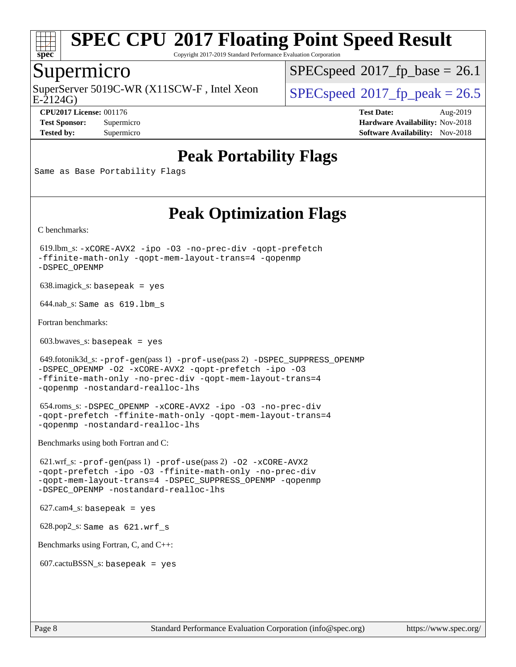

Copyright 2017-2019 Standard Performance Evaluation Corporation

### Supermicro

E-2124G) SuperServer 5019C-WR (X11SCW-F, Intel Xeon  $SPEC speed^{\circ}2017$  fp\_peak = 26.5

 $SPECspeed^{\circledcirc}2017\_fp\_base = 26.1$  $SPECspeed^{\circledcirc}2017\_fp\_base = 26.1$ 

**[Tested by:](http://www.spec.org/auto/cpu2017/Docs/result-fields.html#Testedby)** Supermicro **Supermicro [Software Availability:](http://www.spec.org/auto/cpu2017/Docs/result-fields.html#SoftwareAvailability)** Nov-2018

**[CPU2017 License:](http://www.spec.org/auto/cpu2017/Docs/result-fields.html#CPU2017License)** 001176 **[Test Date:](http://www.spec.org/auto/cpu2017/Docs/result-fields.html#TestDate)** Aug-2019 **[Test Sponsor:](http://www.spec.org/auto/cpu2017/Docs/result-fields.html#TestSponsor)** Supermicro **[Hardware Availability:](http://www.spec.org/auto/cpu2017/Docs/result-fields.html#HardwareAvailability)** Nov-2018

## **[Peak Portability Flags](http://www.spec.org/auto/cpu2017/Docs/result-fields.html#PeakPortabilityFlags)**

Same as Base Portability Flags

# **[Peak Optimization Flags](http://www.spec.org/auto/cpu2017/Docs/result-fields.html#PeakOptimizationFlags)**

[C benchmarks](http://www.spec.org/auto/cpu2017/Docs/result-fields.html#Cbenchmarks):

 619.lbm\_s: [-xCORE-AVX2](http://www.spec.org/cpu2017/results/res2019q3/cpu2017-20190819-17130.flags.html#user_peakCOPTIMIZE619_lbm_s_f-xCORE-AVX2) [-ipo](http://www.spec.org/cpu2017/results/res2019q3/cpu2017-20190819-17130.flags.html#user_peakCOPTIMIZE619_lbm_s_f-ipo) [-O3](http://www.spec.org/cpu2017/results/res2019q3/cpu2017-20190819-17130.flags.html#user_peakCOPTIMIZE619_lbm_s_f-O3) [-no-prec-div](http://www.spec.org/cpu2017/results/res2019q3/cpu2017-20190819-17130.flags.html#user_peakCOPTIMIZE619_lbm_s_f-no-prec-div) [-qopt-prefetch](http://www.spec.org/cpu2017/results/res2019q3/cpu2017-20190819-17130.flags.html#user_peakCOPTIMIZE619_lbm_s_f-qopt-prefetch) [-ffinite-math-only](http://www.spec.org/cpu2017/results/res2019q3/cpu2017-20190819-17130.flags.html#user_peakCOPTIMIZE619_lbm_s_f_finite_math_only_cb91587bd2077682c4b38af759c288ed7c732db004271a9512da14a4f8007909a5f1427ecbf1a0fb78ff2a814402c6114ac565ca162485bbcae155b5e4258871) [-qopt-mem-layout-trans=4](http://www.spec.org/cpu2017/results/res2019q3/cpu2017-20190819-17130.flags.html#user_peakCOPTIMIZE619_lbm_s_f-qopt-mem-layout-trans_fa39e755916c150a61361b7846f310bcdf6f04e385ef281cadf3647acec3f0ae266d1a1d22d972a7087a248fd4e6ca390a3634700869573d231a252c784941a8) [-qopenmp](http://www.spec.org/cpu2017/results/res2019q3/cpu2017-20190819-17130.flags.html#user_peakCOPTIMIZE619_lbm_s_qopenmp_16be0c44f24f464004c6784a7acb94aca937f053568ce72f94b139a11c7c168634a55f6653758ddd83bcf7b8463e8028bb0b48b77bcddc6b78d5d95bb1df2967) [-DSPEC\\_OPENMP](http://www.spec.org/cpu2017/results/res2019q3/cpu2017-20190819-17130.flags.html#suite_peakCOPTIMIZE619_lbm_s_DSPEC_OPENMP)

638.imagick\_s: basepeak = yes

644.nab\_s: Same as 619.lbm\_s

[Fortran benchmarks](http://www.spec.org/auto/cpu2017/Docs/result-fields.html#Fortranbenchmarks):

603.bwaves\_s: basepeak = yes

```
 649.fotonik3d_s: -prof-gen(pass 1) -prof-use(pass 2) -DSPEC_SUPPRESS_OPENMP
-DSPEC_OPENMP -O2 -xCORE-AVX2 -qopt-prefetch -ipo -O3
-ffinite-math-only -no-prec-div -qopt-mem-layout-trans=4
-qopenmp -nostandard-realloc-lhs
```
 654.roms\_s: [-DSPEC\\_OPENMP](http://www.spec.org/cpu2017/results/res2019q3/cpu2017-20190819-17130.flags.html#suite_peakFOPTIMIZE654_roms_s_DSPEC_OPENMP) [-xCORE-AVX2](http://www.spec.org/cpu2017/results/res2019q3/cpu2017-20190819-17130.flags.html#user_peakFOPTIMIZE654_roms_s_f-xCORE-AVX2) [-ipo](http://www.spec.org/cpu2017/results/res2019q3/cpu2017-20190819-17130.flags.html#user_peakFOPTIMIZE654_roms_s_f-ipo) [-O3](http://www.spec.org/cpu2017/results/res2019q3/cpu2017-20190819-17130.flags.html#user_peakFOPTIMIZE654_roms_s_f-O3) [-no-prec-div](http://www.spec.org/cpu2017/results/res2019q3/cpu2017-20190819-17130.flags.html#user_peakFOPTIMIZE654_roms_s_f-no-prec-div) [-qopt-prefetch](http://www.spec.org/cpu2017/results/res2019q3/cpu2017-20190819-17130.flags.html#user_peakFOPTIMIZE654_roms_s_f-qopt-prefetch) [-ffinite-math-only](http://www.spec.org/cpu2017/results/res2019q3/cpu2017-20190819-17130.flags.html#user_peakFOPTIMIZE654_roms_s_f_finite_math_only_cb91587bd2077682c4b38af759c288ed7c732db004271a9512da14a4f8007909a5f1427ecbf1a0fb78ff2a814402c6114ac565ca162485bbcae155b5e4258871) [-qopt-mem-layout-trans=4](http://www.spec.org/cpu2017/results/res2019q3/cpu2017-20190819-17130.flags.html#user_peakFOPTIMIZE654_roms_s_f-qopt-mem-layout-trans_fa39e755916c150a61361b7846f310bcdf6f04e385ef281cadf3647acec3f0ae266d1a1d22d972a7087a248fd4e6ca390a3634700869573d231a252c784941a8) [-qopenmp](http://www.spec.org/cpu2017/results/res2019q3/cpu2017-20190819-17130.flags.html#user_peakFOPTIMIZE654_roms_s_qopenmp_16be0c44f24f464004c6784a7acb94aca937f053568ce72f94b139a11c7c168634a55f6653758ddd83bcf7b8463e8028bb0b48b77bcddc6b78d5d95bb1df2967) [-nostandard-realloc-lhs](http://www.spec.org/cpu2017/results/res2019q3/cpu2017-20190819-17130.flags.html#user_peakEXTRA_FOPTIMIZE654_roms_s_f_2003_std_realloc_82b4557e90729c0f113870c07e44d33d6f5a304b4f63d4c15d2d0f1fab99f5daaed73bdb9275d9ae411527f28b936061aa8b9c8f2d63842963b95c9dd6426b8a)

[Benchmarks using both Fortran and C](http://www.spec.org/auto/cpu2017/Docs/result-fields.html#BenchmarksusingbothFortranandC):

 621.wrf\_s: [-prof-gen](http://www.spec.org/cpu2017/results/res2019q3/cpu2017-20190819-17130.flags.html#user_peakPASS1_CFLAGSPASS1_FFLAGSPASS1_LDFLAGS621_wrf_s_prof_gen_5aa4926d6013ddb2a31985c654b3eb18169fc0c6952a63635c234f711e6e63dd76e94ad52365559451ec499a2cdb89e4dc58ba4c67ef54ca681ffbe1461d6b36)(pass 1) [-prof-use](http://www.spec.org/cpu2017/results/res2019q3/cpu2017-20190819-17130.flags.html#user_peakPASS2_CFLAGSPASS2_FFLAGSPASS2_LDFLAGS621_wrf_s_prof_use_1a21ceae95f36a2b53c25747139a6c16ca95bd9def2a207b4f0849963b97e94f5260e30a0c64f4bb623698870e679ca08317ef8150905d41bd88c6f78df73f19)(pass 2) [-O2](http://www.spec.org/cpu2017/results/res2019q3/cpu2017-20190819-17130.flags.html#user_peakPASS1_COPTIMIZEPASS1_FOPTIMIZE621_wrf_s_f-O2) [-xCORE-AVX2](http://www.spec.org/cpu2017/results/res2019q3/cpu2017-20190819-17130.flags.html#user_peakPASS2_COPTIMIZEPASS2_FOPTIMIZE621_wrf_s_f-xCORE-AVX2) [-qopt-prefetch](http://www.spec.org/cpu2017/results/res2019q3/cpu2017-20190819-17130.flags.html#user_peakPASS1_COPTIMIZEPASS1_FOPTIMIZEPASS2_COPTIMIZEPASS2_FOPTIMIZE621_wrf_s_f-qopt-prefetch) [-ipo](http://www.spec.org/cpu2017/results/res2019q3/cpu2017-20190819-17130.flags.html#user_peakPASS2_COPTIMIZEPASS2_FOPTIMIZE621_wrf_s_f-ipo) [-O3](http://www.spec.org/cpu2017/results/res2019q3/cpu2017-20190819-17130.flags.html#user_peakPASS2_COPTIMIZEPASS2_FOPTIMIZE621_wrf_s_f-O3) [-ffinite-math-only](http://www.spec.org/cpu2017/results/res2019q3/cpu2017-20190819-17130.flags.html#user_peakPASS1_COPTIMIZEPASS1_FOPTIMIZEPASS2_COPTIMIZEPASS2_FOPTIMIZE621_wrf_s_f_finite_math_only_cb91587bd2077682c4b38af759c288ed7c732db004271a9512da14a4f8007909a5f1427ecbf1a0fb78ff2a814402c6114ac565ca162485bbcae155b5e4258871) [-no-prec-div](http://www.spec.org/cpu2017/results/res2019q3/cpu2017-20190819-17130.flags.html#user_peakPASS2_COPTIMIZEPASS2_FOPTIMIZE621_wrf_s_f-no-prec-div) [-qopt-mem-layout-trans=4](http://www.spec.org/cpu2017/results/res2019q3/cpu2017-20190819-17130.flags.html#user_peakPASS1_COPTIMIZEPASS1_FOPTIMIZEPASS2_COPTIMIZEPASS2_FOPTIMIZE621_wrf_s_f-qopt-mem-layout-trans_fa39e755916c150a61361b7846f310bcdf6f04e385ef281cadf3647acec3f0ae266d1a1d22d972a7087a248fd4e6ca390a3634700869573d231a252c784941a8) [-DSPEC\\_SUPPRESS\\_OPENMP](http://www.spec.org/cpu2017/results/res2019q3/cpu2017-20190819-17130.flags.html#suite_peakPASS1_COPTIMIZEPASS1_FOPTIMIZE621_wrf_s_DSPEC_SUPPRESS_OPENMP) [-qopenmp](http://www.spec.org/cpu2017/results/res2019q3/cpu2017-20190819-17130.flags.html#user_peakPASS2_COPTIMIZEPASS2_FOPTIMIZE621_wrf_s_qopenmp_16be0c44f24f464004c6784a7acb94aca937f053568ce72f94b139a11c7c168634a55f6653758ddd83bcf7b8463e8028bb0b48b77bcddc6b78d5d95bb1df2967) [-DSPEC\\_OPENMP](http://www.spec.org/cpu2017/results/res2019q3/cpu2017-20190819-17130.flags.html#suite_peakPASS2_COPTIMIZEPASS2_FOPTIMIZE621_wrf_s_DSPEC_OPENMP) [-nostandard-realloc-lhs](http://www.spec.org/cpu2017/results/res2019q3/cpu2017-20190819-17130.flags.html#user_peakEXTRA_FOPTIMIZE621_wrf_s_f_2003_std_realloc_82b4557e90729c0f113870c07e44d33d6f5a304b4f63d4c15d2d0f1fab99f5daaed73bdb9275d9ae411527f28b936061aa8b9c8f2d63842963b95c9dd6426b8a)

627.cam4\_s: basepeak = yes

628.pop2\_s: Same as 621.wrf\_s

[Benchmarks using Fortran, C, and C++:](http://www.spec.org/auto/cpu2017/Docs/result-fields.html#BenchmarksusingFortranCandCXX)

 $607.cactuBSSN_s$ : basepeak = yes